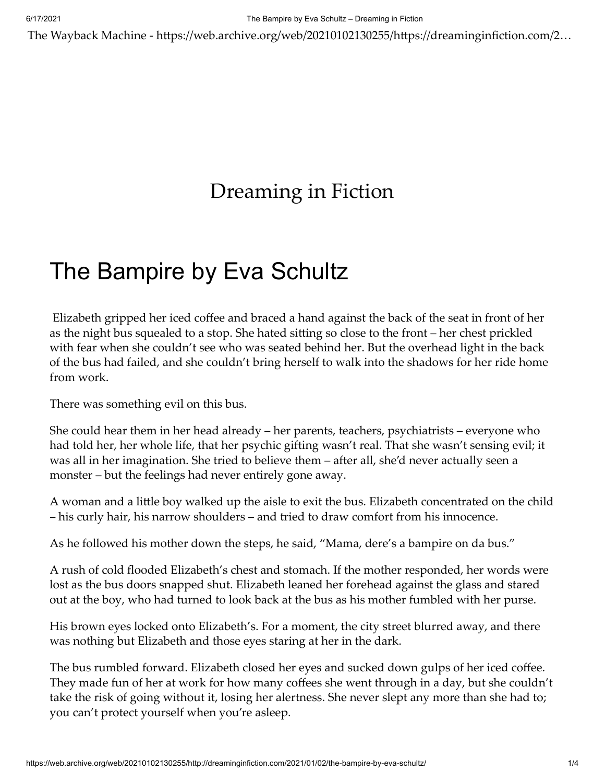The Wayback Machine - https://web.archive.org/web/20210102130255/https://dreaminginfiction.com/2…

## [Dreaming in Fiction](https://web.archive.org/web/20210102130255/https://dreaminginfiction.com/)

## [The Bampire by Eva](https://web.archive.org/web/20210102130255/https://dreaminginfiction.com/2021/01/02/the-bampire-by-eva-schultz/) Schultz

Elizabeth gripped her iced coffee and braced a hand against the back of the seat in front of her as the night bus squealed to a stop. She hated sitting so close to the front – her chest prickled with fear when she couldn't see who was seated behind her. But the overhead light in the back of the bus had failed, and she couldn't bring herself to walk into the shadows for her ride home from work.

There was something evil on this bus.

She could hear them in her head already – her parents, teachers, psychiatrists – everyone who had told her, her whole life, that her psychic gifting wasn't real. That she wasn't sensing evil; it was all in her imagination. She tried to believe them – after all, she'd never actually seen a monster – but the feelings had never entirely gone away.

A woman and a little boy walked up the aisle to exit the bus. Elizabeth concentrated on the child – his curly hair, his narrow shoulders – and tried to draw comfort from his innocence.

As he followed his mother down the steps, he said, "Mama, dere's a bampire on da bus."

A rush of cold flooded Elizabeth's chest and stomach. If the mother responded, her words were lost as the bus doors snapped shut. Elizabeth leaned her forehead against the glass and stared out at the boy, who had turned to look back at the bus as his mother fumbled with her purse.

His brown eyes locked onto Elizabeth's. For a moment, the city street blurred away, and there was nothing but Elizabeth and those eyes staring at her in the dark.

The bus rumbled forward. Elizabeth closed her eyes and sucked down gulps of her iced coffee. They made fun of her at work for how many coffees she went through in a day, but she couldn't take the risk of going without it, losing her alertness. She never slept any more than she had to; you can't protect yourself when you're asleep.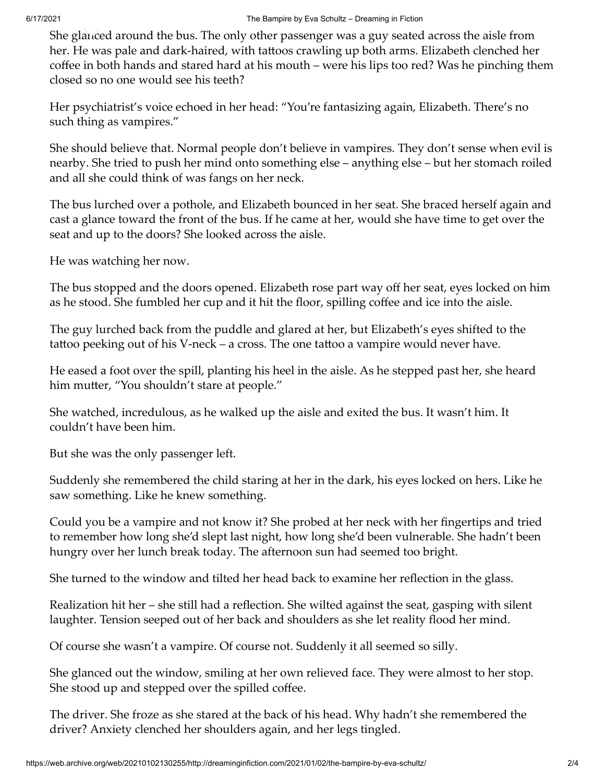She glanced around the bus. The only other passenger was a guy seated across the aisle from her. He was pale and dark-haired, with tattoos crawling up both arms. Elizabeth clenched her coffee in both hands and stared hard at his mouth – were his lips too red? Was he pinching them closed so no one would see his teeth?

Her psychiatrist's voice echoed in her head: "You're fantasizing again, Elizabeth. There's no such thing as vampires."

She should believe that. Normal people don't believe in vampires. They don't sense when evil is nearby. She tried to push her mind onto something else – anything else – but her stomach roiled and all she could think of was fangs on her neck.

The bus lurched over a pothole, and Elizabeth bounced in her seat. She braced herself again and cast a glance toward the front of the bus. If he came at her, would she have time to get over the seat and up to the doors? She looked across the aisle.

He was watching her now.

The bus stopped and the doors opened. Elizabeth rose part way off her seat, eyes locked on him as he stood. She fumbled her cup and it hit the floor, spilling coffee and ice into the aisle.

The guy lurched back from the puddle and glared at her, but Elizabeth's eyes shifted to the tattoo peeking out of his V-neck – a cross. The one tattoo a vampire would never have.

He eased a foot over the spill, planting his heel in the aisle. As he stepped past her, she heard him mutter, "You shouldn't stare at people."

She watched, incredulous, as he walked up the aisle and exited the bus. It wasn't him. It couldn't have been him.

But she was the only passenger left.

Suddenly she remembered the child staring at her in the dark, his eyes locked on hers. Like he saw something. Like he knew something.

Could you be a vampire and not know it? She probed at her neck with her fingertips and tried to remember how long she'd slept last night, how long she'd been vulnerable. She hadn't been hungry over her lunch break today. The afternoon sun had seemed too bright.

She turned to the window and tilted her head back to examine her reflection in the glass.

Realization hit her – she still had a reflection. She wilted against the seat, gasping with silent laughter. Tension seeped out of her back and shoulders as she let reality flood her mind.

Of course she wasn't a vampire. Of course not. Suddenly it all seemed so silly.

She glanced out the window, smiling at her own relieved face. They were almost to her stop. She stood up and stepped over the spilled coffee.

The driver. She froze as she stared at the back of his head. Why hadn't she remembered the driver? Anxiety clenched her shoulders again, and her legs tingled.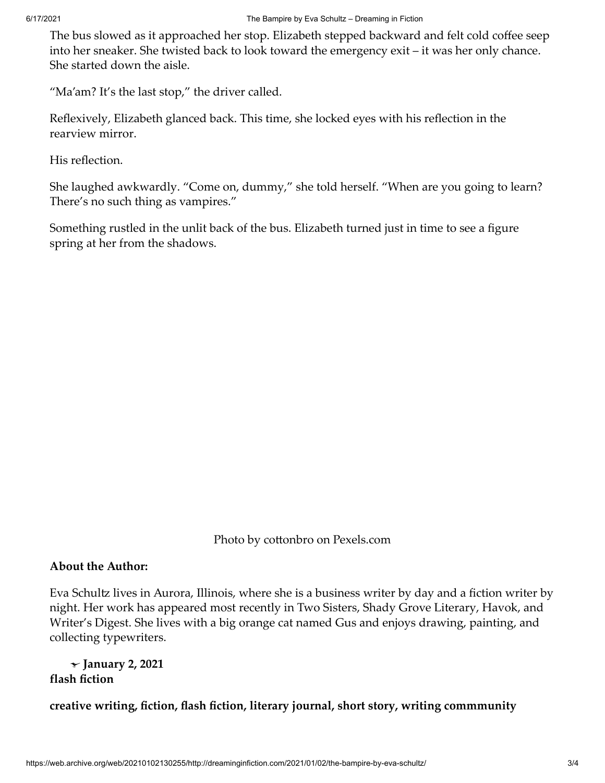The bus slowed as it approached her stop. Elizabeth stepped backward and felt cold coffee seep into her sneaker. She twisted back to look toward the emergency exit – it was her only chance. She started down the aisle.

"Ma'am? It's the last stop," the driver called.

Reflexively, Elizabeth glanced back. This time, she locked eyes with his reflection in the rearview mirror.

His reflection.

She laughed awkwardly. "Come on, dummy," she told herself. "When are you going to learn? There's no such thing as vampires."

Something rustled in the unlit back of the bus. Elizabeth turned just in time to see a figure spring at her from the shadows.

Photo by cottonbro on [Pexels.com](https://web.archive.org/web/20210102130255/https://www.pexels.com/photo/smiling-girl-with-blue-eyes-5547068/)

## **About the Author:**

Eva Schultz lives in Aurora, Illinois, where she is a business writer by day and a fiction writer by night. Her work has appeared most recently in Two Sisters, Shady Grove Literary, Havok, and Writer's Digest. She lives with a big orange cat named Gus and enjoys drawing, painting, and collecting typewriters.

**[flash fiction](https://web.archive.org/web/20210102130255/https://dreaminginfiction.com/category/flash-fiction/) January 2, 2021**

**[creative writing](https://web.archive.org/web/20210102130255/https://dreaminginfiction.com/tag/creative-writing/), [fiction](https://web.archive.org/web/20210102130255/https://dreaminginfiction.com/tag/fiction/), [flash fiction,](https://web.archive.org/web/20210102130255/https://dreaminginfiction.com/tag/flash-fiction/) [literary journal](https://web.archive.org/web/20210102130255/https://dreaminginfiction.com/tag/literary-journal/), [short story](https://web.archive.org/web/20210102130255/https://dreaminginfiction.com/tag/short-story/), [writing commmunity](https://web.archive.org/web/20210102130255/https://dreaminginfiction.com/tag/writing-commmunity/)**